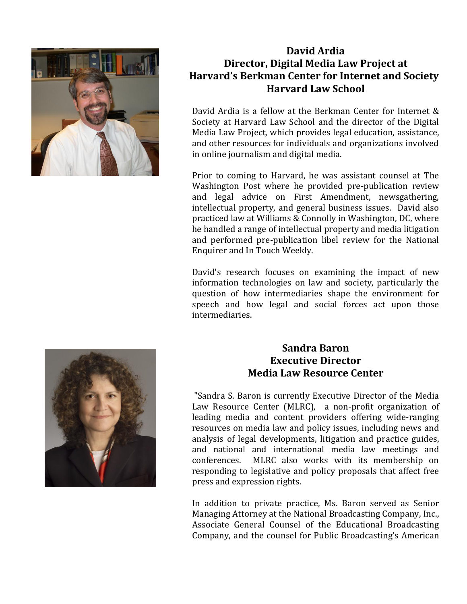

# **David Ardia Director, Digital Media Law Project at Harvard's Berkman Center for Internet and Society Harvard Law School**

David Ardia is a fellow at the Berkman Center for Internet & Society at Harvard Law School and the director of the Digital Media Law Project, which provides legal education, assistance, and other resources for individuals and organizations involved in online journalism and digital media.

Prior to coming to Harvard, he was assistant counsel at The Washington Post where he provided pre-publication review and legal advice on First Amendment, newsgathering, intellectual property, and general business issues. David also practiced law at Williams & Connolly in Washington, DC, where he handled a range of intellectual property and media litigation and performed pre-publication libel review for the National Enquirer and In Touch Weekly.

David's research focuses on examining the impact of new information technologies on law and society, particularly the question of how intermediaries shape the environment for speech and how legal and social forces act upon those intermediaries.



# **Sandra Baron Executive Director Media Law Resource Center**

"Sandra S. Baron is currently Executive Director of the Media Law Resource Center (MLRC), a non-profit organization of leading media and content providers offering wide-ranging resources on media law and policy issues, including news and analysis of legal developments, litigation and practice guides, and national and international media law meetings and conferences. MLRC also works with its membership on responding to legislative and policy proposals that affect free press and expression rights.

In addition to private practice, Ms. Baron served as Senior Managing Attorney at the National Broadcasting Company, Inc., Associate General Counsel of the Educational Broadcasting Company, and the counsel for Public Broadcasting's American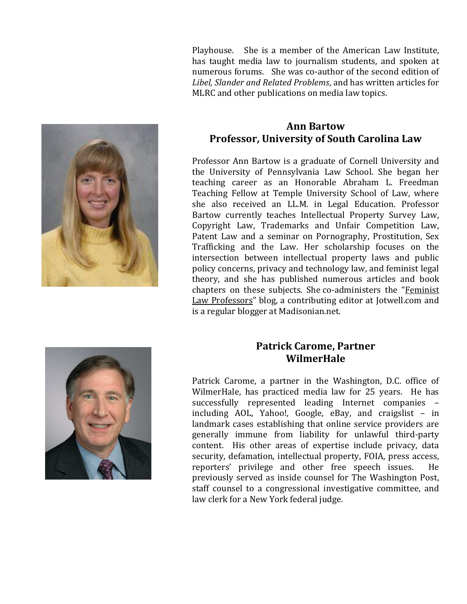Playhouse. She is a member of the American Law Institute, has taught media law to journalism students, and spoken at numerous forums. She was co-author of the second edition of *Libel, Slander and Related Problems*, and has written articles for MLRC and other publications on media law topics.



#### **Ann Bartow Professor, University of South Carolina Law**

Professor Ann Bartow is a graduate of Cornell University and the University of Pennsylvania Law School. She began her teaching career as an Honorable Abraham L. Freedman Teaching Fellow at Temple University School of Law, where she also received an LL.M. in Legal Education. Professor Bartow currently teaches Intellectual Property Survey Law, Copyright Law, Trademarks and Unfair Competition Law, Patent Law and a seminar on Pornography, Prostitution, Sex Trafficking and the Law. Her scholarship focuses on the intersection between intellectual property laws and public policy concerns, privacy and technology law, and feminist legal theory, and she has published numerous articles and book chapters on these subjects. She co-administers the "[Feminist](http://feministlawprofessors.com/)  [Law Professors](http://feministlawprofessors.com/)" blog, a contributing editor at Jotwell.com and is a regular blogger at Madisonian.net.



# **Patrick Carome, Partner WilmerHale**

Patrick Carome, a partner in the Washington, D.C. office of WilmerHale, has practiced media law for 25 years. He has successfully represented leading Internet companies – including AOL, Yahoo!, Google, eBay, and craigslist – in landmark cases establishing that online service providers are generally immune from liability for unlawful third-party content. His other areas of expertise include privacy, data security, defamation, intellectual property, FOIA, press access, reporters' privilege and other free speech issues. He previously served as inside counsel for The Washington Post, staff counsel to a congressional investigative committee, and law clerk for a New York federal judge.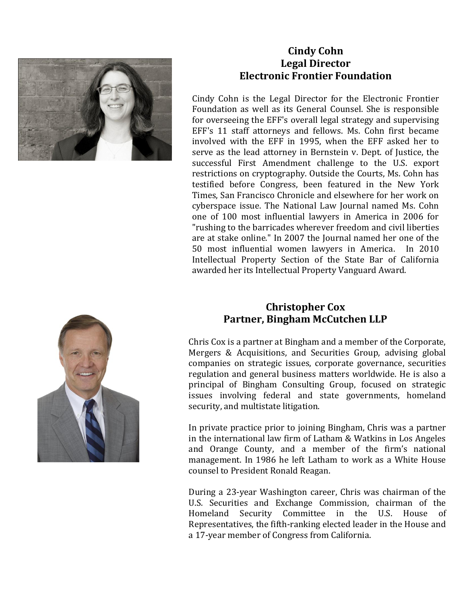

### **Cindy Cohn Legal Director Electronic Frontier Foundation**

Cindy Cohn is the Legal Director for the Electronic Frontier Foundation as well as its General Counsel. She is responsible for overseeing the EFF's overall legal strategy and supervising EFF's 11 staff attorneys and fellows. Ms. Cohn first became involved with the EFF in 1995, when the EFF asked her to serve as the lead attorney in Bernstein v. Dept. of Justice, the successful First Amendment challenge to the U.S. export restrictions on cryptography. Outside the Courts, Ms. Cohn has testified before Congress, been featured in the New York Times, San Francisco Chronicle and elsewhere for her work on cyberspace issue. The National Law Journal named Ms. Cohn one of 100 most influential lawyers in America in 2006 for "rushing to the barricades wherever freedom and civil liberties are at stake online." In 2007 the Journal named her one of the 50 most influential women lawyers in America. In 2010 Intellectual Property Section of the State Bar of California awarded her its Intellectual Property Vanguard Award.



# **Christopher Cox Partner, Bingham McCutchen LLP**

Chris Cox is a partner at Bingham and a member of the Corporate, Mergers & Acquisitions, and Securities Group, advising global companies on strategic issues, corporate governance, securities regulation and general business matters worldwide. He is also a principal of Bingham Consulting Group, focused on strategic issues involving federal and state governments, homeland security, and multistate litigation.

In private practice prior to joining Bingham, Chris was a partner in the international law firm of Latham & Watkins in Los Angeles and Orange County, and a member of the firm's national management. In 1986 he left Latham to work as a White House counsel to President Ronald Reagan.

During a 23-year Washington career, Chris was chairman of the U.S. Securities and Exchange Commission, chairman of the Homeland Security Committee in the U.S. House Representatives, the fifth-ranking elected leader in the House and a 17-year member of Congress from California.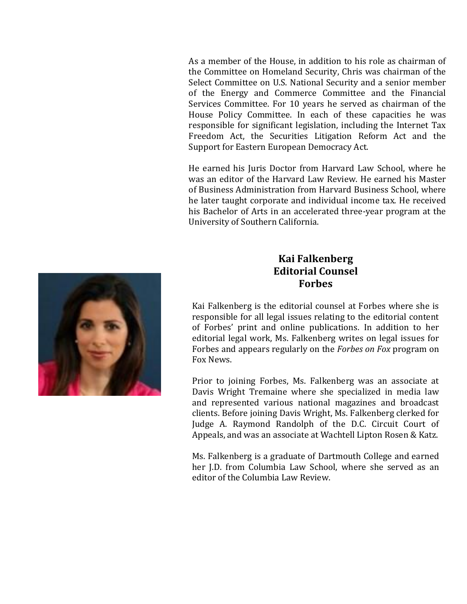As a member of the House, in addition to his role as chairman of the Committee on Homeland Security, Chris was chairman of the Select Committee on U.S. National Security and a senior member of the Energy and Commerce Committee and the Financial Services Committee. For 10 years he served as chairman of the House Policy Committee. In each of these capacities he was responsible for significant legislation, including the Internet Tax Freedom Act, the Securities Litigation Reform Act and the Support for Eastern European Democracy Act.

He earned his Juris Doctor from Harvard Law School, where he was an editor of the Harvard Law Review. He earned his Master of Business Administration from Harvard Business School, where he later taught corporate and individual income tax. He received his Bachelor of Arts in an accelerated three-year program at the University of Southern California.



Kai Falkenberg is the editorial counsel at Forbes where she is responsible for all legal issues relating to the editorial content of Forbes' print and online publications. In addition to her editorial legal work, Ms. Falkenberg writes on legal issues for Forbes and appears regularly on the *Forbes on Fox* program on Fox News.

Prior to joining Forbes, Ms. Falkenberg was an associate at Davis Wright Tremaine where she specialized in media law and represented various national magazines and broadcast clients. Before joining Davis Wright, Ms. Falkenberg clerked for Judge A. Raymond Randolph of the D.C. Circuit Court of Appeals, and was an associate at Wachtell Lipton Rosen & Katz.

Ms. Falkenberg is a graduate of Dartmouth College and earned her J.D. from Columbia Law School, where she served as an editor of the Columbia Law Review.

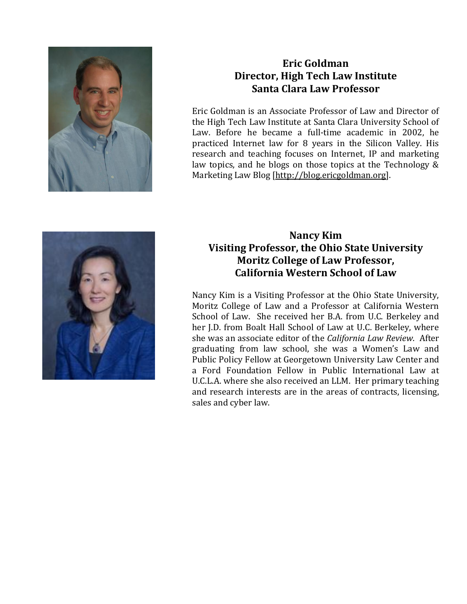

# **Eric Goldman Director, High Tech Law Institute Santa Clara Law Professor**

Eric Goldman is an Associate Professor of Law and Director of the High Tech Law Institute at Santa Clara University School of Law. Before he became a full-time academic in 2002, he practiced Internet law for 8 years in the Silicon Valley. His research and teaching focuses on Internet, IP and marketing law topics, and he blogs on those topics at the Technology & Marketing Law Blog [\[http://blog.ericgoldman.org\]](http://blog.ericgoldman.org/).



### **Nancy Kim Visiting Professor, the Ohio State University Moritz College of Law Professor, California Western School of Law**

Nancy Kim is a Visiting Professor at the Ohio State University, Moritz College of Law and a Professor at California Western School of Law. She received her B.A. from U.C. Berkeley and her J.D. from Boalt Hall School of Law at U.C. Berkeley, where she was an associate editor of the *California Law Review*. After graduating from law school, she was a Women's Law and Public Policy Fellow at Georgetown University Law Center and a Ford Foundation Fellow in Public International Law at U.C.L.A. where she also received an LLM. Her primary teaching and research interests are in the areas of contracts, licensing, sales and cyber law.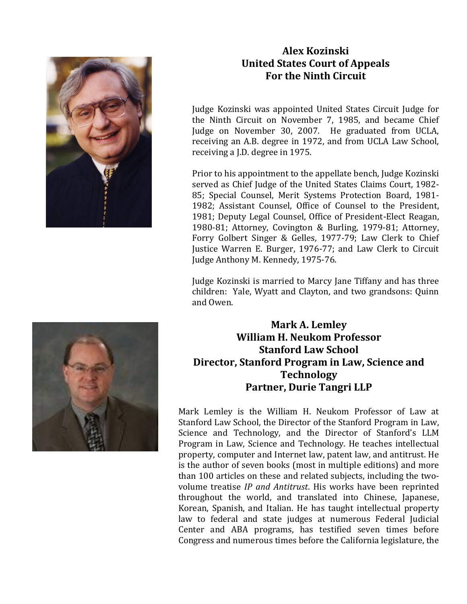

### **Alex Kozinski United States Court of Appeals For the Ninth Circuit**

Judge Kozinski was appointed United States Circuit Judge for the Ninth Circuit on November 7, 1985, and became Chief Judge on November 30, 2007. He graduated from UCLA, receiving an A.B. degree in 1972, and from UCLA Law School, receiving a J.D. degree in 1975.

Prior to his appointment to the appellate bench, Judge Kozinski served as Chief Judge of the United States Claims Court, 1982- 85; Special Counsel, Merit Systems Protection Board, 1981- 1982; Assistant Counsel, Office of Counsel to the President, 1981; Deputy Legal Counsel, Office of President-Elect Reagan, 1980-81; Attorney, Covington & Burling, 1979-81; Attorney, Forry Golbert Singer & Gelles, 1977-79; Law Clerk to Chief Justice Warren E. Burger, 1976-77; and Law Clerk to Circuit Judge Anthony M. Kennedy, 1975-76.

Judge Kozinski is married to Marcy Jane Tiffany and has three children: Yale, Wyatt and Clayton, and two grandsons: Quinn and Owen.



# **Mark A. Lemley William H. Neukom Professor Stanford Law School Director, Stanford Program in Law, Science and Technology Partner, Durie Tangri LLP**

Mark Lemley is the William H. Neukom Professor of Law at Stanford Law School, the Director of the Stanford Program in Law, Science and Technology, and the Director of Stanford's LLM Program in Law, Science and Technology. He teaches intellectual property, computer and Internet law, patent law, and antitrust. He is the author of seven books (most in multiple editions) and more than 100 articles on these and related subjects, including the twovolume treatise *IP and Antitrust*. His works have been reprinted throughout the world, and translated into Chinese, Japanese, Korean, Spanish, and Italian. He has taught intellectual property law to federal and state judges at numerous Federal Judicial Center and ABA programs, has testified seven times before Congress and numerous times before the California legislature, the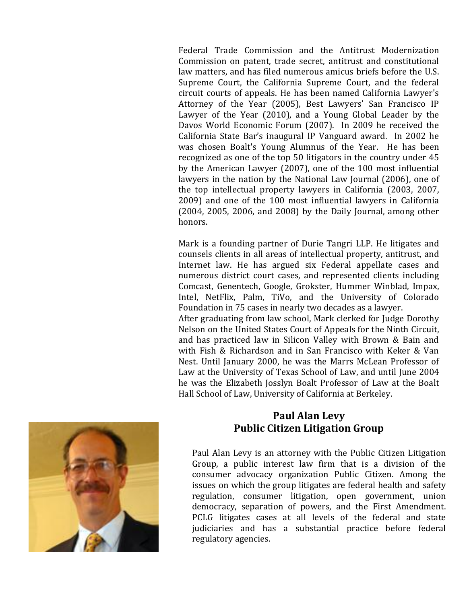Federal Trade Commission and the Antitrust Modernization Commission on patent, trade secret, antitrust and constitutional law matters, and has filed numerous amicus briefs before the U.S. Supreme Court, the California Supreme Court, and the federal circuit courts of appeals. He has been named California Lawyer's Attorney of the Year (2005), Best Lawyers' San Francisco IP Lawyer of the Year (2010), and a Young Global Leader by the Davos World Economic Forum (2007). In 2009 he received the California State Bar's inaugural IP Vanguard award. In 2002 he was chosen Boalt's Young Alumnus of the Year. He has been recognized as one of the top 50 litigators in the country under 45 by the American Lawyer (2007), one of the 100 most influential lawyers in the nation by the National Law Journal (2006), one of the top intellectual property lawyers in California (2003, 2007, 2009) and one of the 100 most influential lawyers in California (2004, 2005, 2006, and 2008) by the Daily Journal, among other honors.

Mark is a founding partner of Durie Tangri LLP. He litigates and counsels clients in all areas of intellectual property, antitrust, and Internet law. He has argued six Federal appellate cases and numerous district court cases, and represented clients including Comcast, Genentech, Google, Grokster, Hummer Winblad, Impax, Intel, NetFlix, Palm, TiVo, and the University of Colorado Foundation in 75 cases in nearly two decades as a lawyer.

After graduating from law school, Mark clerked for Judge Dorothy Nelson on the United States Court of Appeals for the Ninth Circuit, and has practiced law in Silicon Valley with Brown & Bain and with Fish & Richardson and in San Francisco with Keker & Van Nest. Until January 2000, he was the Marrs McLean Professor of Law at the University of Texas School of Law, and until June 2004 he was the Elizabeth Josslyn Boalt Professor of Law at the Boalt Hall School of Law, University of California at Berkeley.



### **Paul Alan Levy Public Citizen Litigation Group**

Paul Alan Levy is an attorney with the Public Citizen Litigation Group, a public interest law firm that is a division of the consumer advocacy organization Public Citizen. Among the issues on which the group litigates are federal health and safety regulation, consumer litigation, open government, union democracy, separation of powers, and the First Amendment. PCLG litigates cases at all levels of the federal and state judiciaries and has a substantial practice before federal regulatory agencies.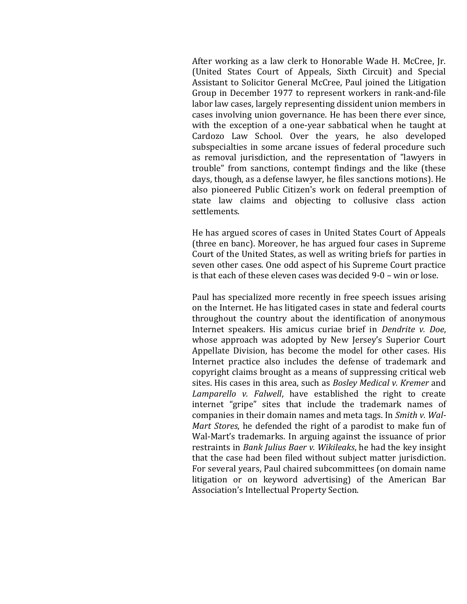After working as a law clerk to Honorable Wade H. McCree, Jr. (United States Court of Appeals, Sixth Circuit) and Special Assistant to Solicitor General McCree, Paul joined the Litigation Group in December 1977 to represent workers in rank-and-file labor law cases, largely representing dissident union members in cases involving union governance. He has been there ever since, with the exception of a one-year sabbatical when he taught at Cardozo Law School. Over the years, he also developed subspecialties in some arcane issues of federal procedure such as removal jurisdiction, and the representation of "lawyers in trouble" from sanctions, contempt findings and the like (these days, though, as a defense lawyer, he files sanctions motions). He also pioneered Public Citizen's work on federal preemption of state law claims and objecting to collusive class action settlements.

He has argued scores of cases in United States Court of Appeals (three en banc). Moreover, he has argued four cases in Supreme Court of the United States, as well as writing briefs for parties in seven other cases. One odd aspect of his Supreme Court practice is that each of these eleven cases was decided 9-0 – win or lose.

Paul has specialized more recently in free speech issues arising on the Internet. He has litigated cases in state and federal courts throughout the country about the identification of anonymous Internet speakers. His amicus curiae brief in *Dendrite v. Doe*, whose approach was adopted by New Jersey's Superior Court Appellate Division, has become the model for other cases. His Internet practice also includes the defense of trademark and copyright claims brought as a means of suppressing critical web sites. His cases in this area, such as *Bosley Medical v. Kremer* and *Lamparello v. Falwell*, have established the right to create internet "gripe" sites that include the trademark names of companies in their domain names and meta tags. In *Smith v. Wal-Mart Stores*, he defended the right of a parodist to make fun of Wal-Mart's trademarks. In arguing against the issuance of prior restraints in *Bank Julius Baer v. Wikileaks*, he had the key insight that the case had been filed without subject matter jurisdiction. For several years, Paul chaired subcommittees (on domain name litigation or on keyword advertising) of the American Bar Association's Intellectual Property Section.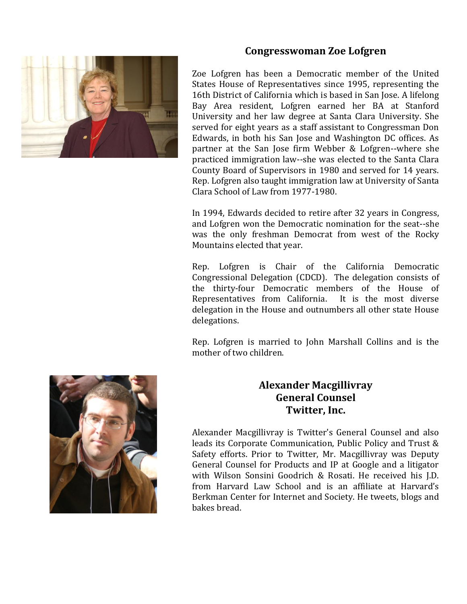

# **Congresswoman Zoe Lofgren**

Zoe Lofgren has been a Democratic member of the United States House of Representatives since 1995, representing the 16th District of California which is based in San Jose. A lifelong Bay Area resident, Lofgren earned her BA at Stanford University and her law degree at Santa Clara University. She served for eight years as a staff assistant to Congressman Don Edwards, in both his San Jose and Washington DC offices. As partner at the San Jose firm Webber & Lofgren--where she practiced immigration law--she was elected to the Santa Clara County Board of Supervisors in 1980 and served for 14 years. Rep. Lofgren also taught immigration law at University of Santa Clara School of Law from 1977-1980.

In 1994, Edwards decided to retire after 32 years in Congress, and Lofgren won the Democratic nomination for the seat--she was the only freshman Democrat from west of the Rocky Mountains elected that year.

Rep. Lofgren is Chair of the California Democratic Congressional Delegation (CDCD). The delegation consists of the thirty-four Democratic members of the House of Representatives from California. It is the most diverse delegation in the House and outnumbers all other state House delegations.

Rep. Lofgren is married to John Marshall Collins and is the mother of two children.



# **Alexander Macgillivray General Counsel Twitter, Inc.**

Alexander Macgillivray is Twitter's General Counsel and also leads its Corporate Communication, Public Policy and Trust & Safety efforts. Prior to Twitter, Mr. Macgillivray was Deputy General Counsel for Products and IP at Google and a litigator with Wilson Sonsini Goodrich & Rosati. He received his J.D. from Harvard Law School and is an affiliate at Harvard's Berkman Center for Internet and Society. He tweets, blogs and bakes bread.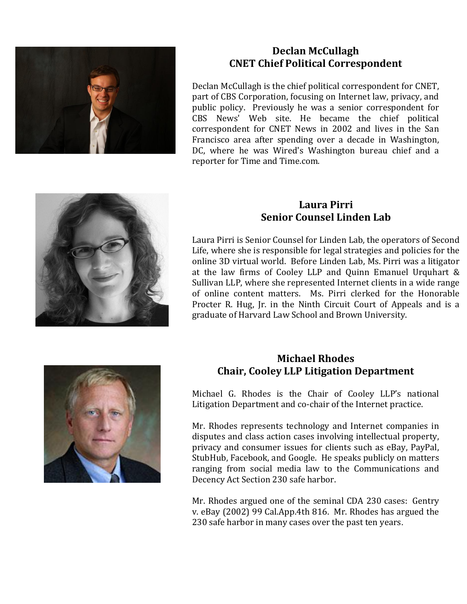

### **Declan McCullagh CNET Chief Political Correspondent**

Declan McCullagh is the chief political correspondent for CNET, part of CBS Corporation, focusing on Internet law, privacy, and public policy. Previously he was a senior correspondent for CBS News' Web site. He became the chief political correspondent for CNET News in 2002 and lives in the San Francisco area after spending over a decade in Washington, DC, where he was Wired's Washington bureau chief and a reporter for Time and Time.com.



### **Laura Pirri Senior Counsel Linden Lab**

Laura Pirri is Senior Counsel for Linden Lab, the operators of Second Life, where she is responsible for legal strategies and policies for the online 3D virtual world. Before Linden Lab, Ms. Pirri was a litigator at the law firms of Cooley LLP and Quinn Emanuel Urquhart & Sullivan LLP, where she represented Internet clients in a wide range of online content matters. Ms. Pirri clerked for the Honorable Procter R. Hug, Jr. in the Ninth Circuit Court of Appeals and is a graduate of Harvard Law School and Brown University.



# **Michael Rhodes Chair, Cooley LLP Litigation Department**

Michael G. Rhodes is the Chair of Cooley LLP's national Litigation Department and co-chair of the Internet practice.

Mr. Rhodes represents technology and Internet companies in disputes and class action cases involving intellectual property, privacy and consumer issues for clients such as eBay, PayPal, StubHub, Facebook, and Google. He speaks publicly on matters ranging from social media law to the Communications and Decency Act Section 230 safe harbor.

Mr. Rhodes argued one of the seminal CDA 230 cases: Gentry v. eBay (2002) 99 Cal.App.4th 816. Mr. Rhodes has argued the 230 safe harbor in many cases over the past ten years.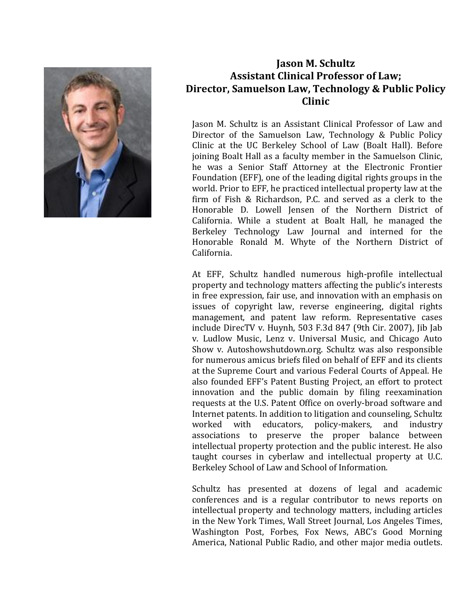

# **Jason M. Schultz Assistant Clinical Professor of Law; Director, Samuelson Law, Technology & Public Policy Clinic**

Jason M. Schultz is an Assistant Clinical Professor of Law and Director of the Samuelson Law, Technology & Public Policy Clinic at the UC Berkeley School of Law (Boalt Hall). Before joining Boalt Hall as a faculty member in the Samuelson Clinic, he was a Senior Staff Attorney at the Electronic Frontier Foundation (EFF), one of the leading digital rights groups in the world. Prior to EFF, he practiced intellectual property law at the firm of Fish & Richardson, P.C. and served as a clerk to the Honorable D. Lowell Jensen of the Northern District of California. While a student at Boalt Hall, he managed the Berkeley Technology Law Journal and interned for the Honorable Ronald M. Whyte of the Northern District of California.

At EFF, Schultz handled numerous high-profile intellectual property and technology matters affecting the public's interests in free expression, fair use, and innovation with an emphasis on issues of copyright law, reverse engineering, digital rights management, and patent law reform. Representative cases include DirecTV v. Huynh, 503 F.3d 847 (9th Cir. 2007), Jib Jab v. Ludlow Music, Lenz v. Universal Music, and Chicago Auto Show v. Autoshowshutdown.org. Schultz was also responsible for numerous amicus briefs filed on behalf of EFF and its clients at the Supreme Court and various Federal Courts of Appeal. He also founded EFF's Patent Busting Project, an effort to protect innovation and the public domain by filing reexamination requests at the U.S. Patent Office on overly-broad software and Internet patents. In addition to litigation and counseling, Schultz worked with educators, policy-makers, and industry associations to preserve the proper balance between intellectual property protection and the public interest. He also taught courses in cyberlaw and intellectual property at U.C. Berkeley School of Law and School of Information.

Schultz has presented at dozens of legal and academic conferences and is a regular contributor to news reports on intellectual property and technology matters, including articles in the New York Times, Wall Street Journal, Los Angeles Times, Washington Post, Forbes, Fox News, ABC's Good Morning America, National Public Radio, and other major media outlets.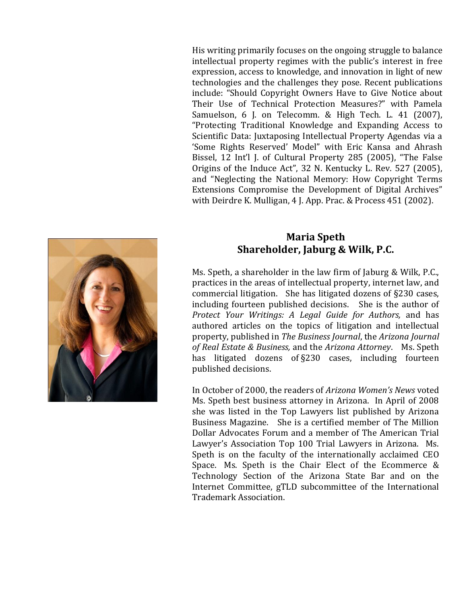His writing primarily focuses on the ongoing struggle to balance intellectual property regimes with the public's interest in free expression, access to knowledge, and innovation in light of new technologies and the challenges they pose. Recent publications include: "Should Copyright Owners Have to Give Notice about Their Use of Technical Protection Measures?" with Pamela Samuelson, 6 J. on Telecomm. & High Tech. L. 41 (2007), "Protecting Traditional Knowledge and Expanding Access to Scientific Data: Juxtaposing Intellectual Property Agendas via a 'Some Rights Reserved' Model" with Eric Kansa and Ahrash Bissel, 12 Int'l J. of Cultural Property 285 (2005), "The False Origins of the Induce Act", 32 N. Kentucky L. Rev. 527 (2005), and "Neglecting the National Memory: How Copyright Terms Extensions Compromise the Development of Digital Archives" with Deirdre K. Mulligan, 4 J. App. Prac. & Process 451 (2002).



#### **Maria Speth Shareholder, Jaburg & Wilk, P.C.**

Ms. Speth, a shareholder in the law firm of Jaburg & Wilk, P.C., practices in the areas of intellectual property, internet law, and commercial litigation. She has litigated dozens of §230 cases, including fourteen published decisions. She is the author of *Protect Your Writings: A Legal Guide for Authors,* and has authored articles on the topics of litigation and intellectual property, published in *The Business Journal*, the *Arizona Journal of Real Estate & Business,* and the *Arizona Attorney*. Ms. Speth has litigated dozens of §230 cases, including fourteen published decisions.

In October of 2000, the readers of *Arizona Women's News* voted Ms. Speth best business attorney in Arizona. In April of 2008 she was listed in the Top Lawyers list published by Arizona Business Magazine. She is a certified member of The Million Dollar Advocates Forum and a member of The American Trial Lawyer's Association Top 100 Trial Lawyers in Arizona. Ms. Speth is on the faculty of the internationally acclaimed CEO Space. Ms. Speth is the Chair Elect of the Ecommerce & Technology Section of the Arizona State Bar and on the Internet Committee, gTLD subcommittee of the International Trademark Association.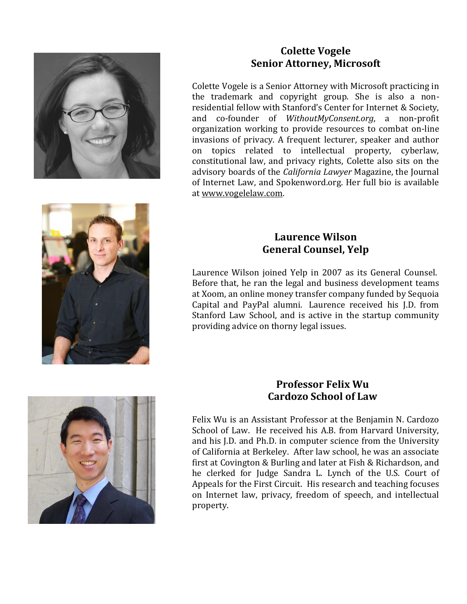

### **Colette Vogele Senior Attorney, Microsoft**

Colette Vogele is a Senior Attorney with Microsoft practicing in the trademark and copyright group. She is also a nonresidential fellow with Stanford's Center for Internet & Society, and co-founder of *WithoutMyConsent.org*, a non-profit organization working to provide resources to combat on-line invasions of privacy. A frequent lecturer, speaker and author on topics related to intellectual property, cyberlaw, constitutional law, and privacy rights, Colette also sits on the advisory boards of the *California Lawyer* Magazine, the Journal of Internet Law, and Spokenword.org. Her full bio is available at [www.vogelelaw.com.](http://www.vogelelaw.com/)



# **Laurence Wilson General Counsel, Yelp**

Laurence Wilson joined Yelp in 2007 as its General Counsel. Before that, he ran the legal and business development teams at Xoom, an online money transfer company funded by Sequoia Capital and PayPal alumni. Laurence received his J.D. from Stanford Law School, and is active in the startup community providing advice on thorny legal issues.



# **Professor Felix Wu Cardozo School of Law**

Felix Wu is an Assistant Professor at the Benjamin N. Cardozo School of Law. He received his A.B. from Harvard University, and his J.D. and Ph.D. in computer science from the University of California at Berkeley. After law school, he was an associate first at Covington & Burling and later at Fish & Richardson, and he clerked for Judge Sandra L. Lynch of the U.S. Court of Appeals for the First Circuit. His research and teaching focuses on Internet law, privacy, freedom of speech, and intellectual property.